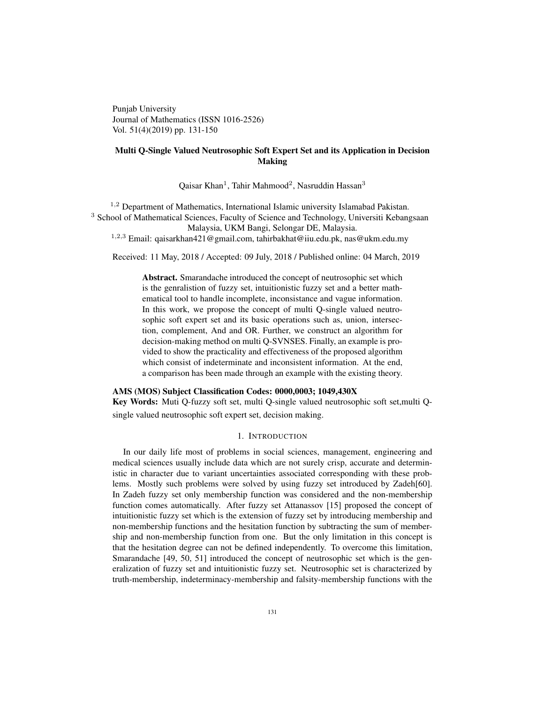Punjab University Journal of Mathematics (ISSN 1016-2526) Vol. 51(4)(2019) pp. 131-150

# Multi Q-Single Valued Neutrosophic Soft Expert Set and its Application in Decision Making

Qaisar Khan<sup>1</sup>, Tahir Mahmood<sup>2</sup>, Nasruddin Hassan<sup>3</sup>

<sup>1,2</sup> Department of Mathematics, International Islamic university Islamabad Pakistan. <sup>3</sup> School of Mathematical Sciences, Faculty of Science and Technology, Universiti Kebangsaan Malaysia, UKM Bangi, Selongar DE, Malaysia.

<sup>1</sup>,2,<sup>3</sup> Email: qaisarkhan421@gmail.com, tahirbakhat@iiu.edu.pk, nas@ukm.edu.my

Received: 11 May, 2018 / Accepted: 09 July, 2018 / Published online: 04 March, 2019

Abstract. Smarandache introduced the concept of neutrosophic set which is the genralistion of fuzzy set, intuitionistic fuzzy set and a better mathematical tool to handle incomplete, inconsistance and vague information. In this work, we propose the concept of multi Q-single valued neutrosophic soft expert set and its basic operations such as, union, intersection, complement, And and OR. Further, we construct an algorithm for decision-making method on multi Q-SVNSES. Finally, an example is provided to show the practicality and effectiveness of the proposed algorithm which consist of indeterminate and inconsistent information. At the end, a comparison has been made through an example with the existing theory.

### AMS (MOS) Subject Classification Codes: 0000,0003; 1049,430X

Key Words: Muti Q-fuzzy soft set, multi Q-single valued neutrosophic soft set,multi Qsingle valued neutrosophic soft expert set, decision making.

### 1. INTRODUCTION

In our daily life most of problems in social sciences, management, engineering and medical sciences usually include data which are not surely crisp, accurate and deterministic in character due to variant uncertainties associated corresponding with these problems. Mostly such problems were solved by using fuzzy set introduced by Zadeh[60]. In Zadeh fuzzy set only membership function was considered and the non-membership function comes automatically. After fuzzy set Attanassov [15] proposed the concept of intuitionistic fuzzy set which is the extension of fuzzy set by introducing membership and non-membership functions and the hesitation function by subtracting the sum of membership and non-membership function from one. But the only limitation in this concept is that the hesitation degree can not be defined independently. To overcome this limitation, Smarandache [49, 50, 51] introduced the concept of neutrosophic set which is the generalization of fuzzy set and intuitionistic fuzzy set. Neutrosophic set is characterized by truth-membership, indeterminacy-membership and falsity-membership functions with the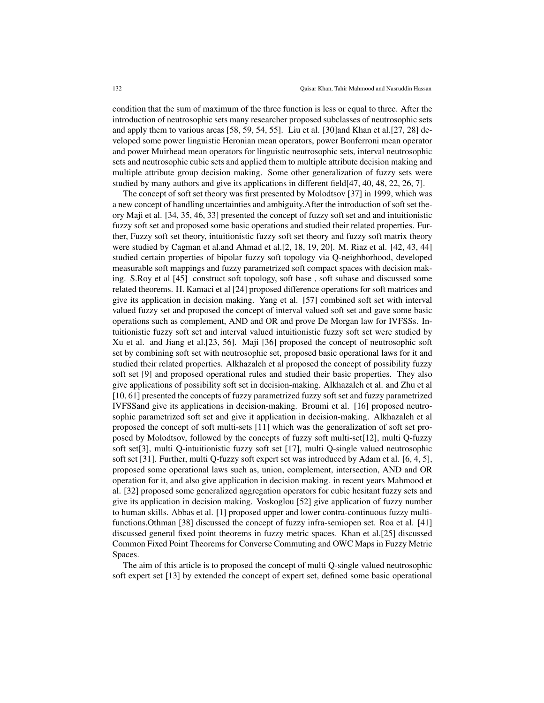condition that the sum of maximum of the three function is less or equal to three. After the introduction of neutrosophic sets many researcher proposed subclasses of neutrosophic sets and apply them to various areas [58, 59, 54, 55]. Liu et al. [30]and Khan et al.[27, 28] developed some power linguistic Heronian mean operators, power Bonferroni mean operator and power Muirhead mean operators for linguistic neutrosophic sets, interval neutrosophic sets and neutrosophic cubic sets and applied them to multiple attribute decision making and multiple attribute group decision making. Some other generalization of fuzzy sets were studied by many authors and give its applications in different field[47, 40, 48, 22, 26, 7].

The concept of soft set theory was first presented by Molodtsov [37] in 1999, which was a new concept of handling uncertainties and ambiguity.After the introduction of soft set theory Maji et al. [34, 35, 46, 33] presented the concept of fuzzy soft set and and intuitionistic fuzzy soft set and proposed some basic operations and studied their related properties. Further, Fuzzy soft set theory, intuitionistic fuzzy soft set theory and fuzzy soft matrix theory were studied by Cagman et al.and Ahmad et al. [2, 18, 19, 20]. M. Riaz et al. [42, 43, 44] studied certain properties of bipolar fuzzy soft topology via Q-neighborhood, developed measurable soft mappings and fuzzy parametrized soft compact spaces with decision making. S.Roy et al [45] construct soft topology, soft base , soft subase and discussed some related theorems. H. Kamaci et al [24] proposed difference operations for soft matrices and give its application in decision making. Yang et al. [57] combined soft set with interval valued fuzzy set and proposed the concept of interval valued soft set and gave some basic operations such as complement, AND and OR and prove De Morgan law for IVFSSs. Intuitionistic fuzzy soft set and interval valued intuitionistic fuzzy soft set were studied by Xu et al. and Jiang et al.[23, 56]. Maji [36] proposed the concept of neutrosophic soft set by combining soft set with neutrosophic set, proposed basic operational laws for it and studied their related properties. Alkhazaleh et al proposed the concept of possibility fuzzy soft set [9] and proposed operational rules and studied their basic properties. They also give applications of possibility soft set in decision-making. Alkhazaleh et al. and Zhu et al [10, 61] presented the concepts of fuzzy parametrized fuzzy soft set and fuzzy parametrized IVFSSand give its applications in decision-making. Broumi et al. [16] proposed neutrosophic parametrized soft set and give it application in decision-making. Alkhazaleh et al proposed the concept of soft multi-sets [11] which was the generalization of soft set proposed by Molodtsov, followed by the concepts of fuzzy soft multi-set[12], multi Q-fuzzy soft set[3], multi Q-intuitionistic fuzzy soft set [17], multi Q-single valued neutrosophic soft set [31]. Further, multi Q-fuzzy soft expert set was introduced by Adam et al. [6, 4, 5], proposed some operational laws such as, union, complement, intersection, AND and OR operation for it, and also give application in decision making. in recent years Mahmood et al. [32] proposed some generalized aggregation operators for cubic hesitant fuzzy sets and give its application in decision making. Voskoglou [52] give application of fuzzy number to human skills. Abbas et al. [1] proposed upper and lower contra-continuous fuzzy multifunctions.Othman [38] discussed the concept of fuzzy infra-semiopen set. Roa et al. [41] discussed general fixed point theorems in fuzzy metric spaces. Khan et al.[25] discussed Common Fixed Point Theorems for Converse Commuting and OWC Maps in Fuzzy Metric Spaces.

The aim of this article is to proposed the concept of multi Q-single valued neutrosophic soft expert set [13] by extended the concept of expert set, defined some basic operational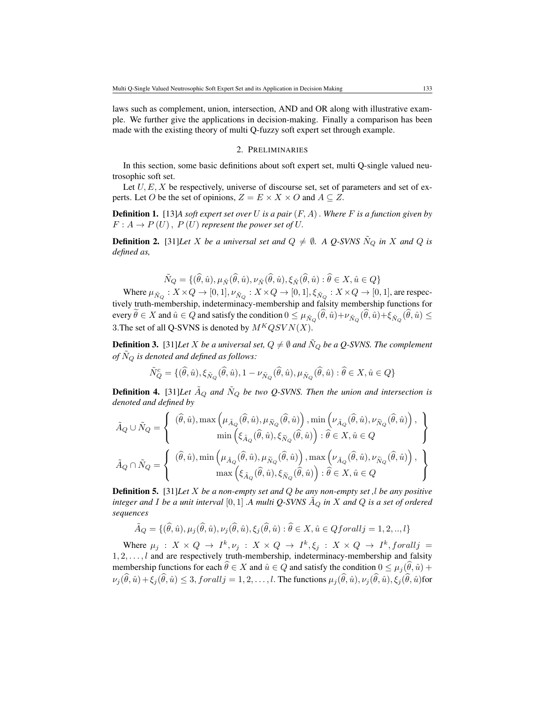laws such as complement, union, intersection, AND and OR along with illustrative example. We further give the applications in decision-making. Finally a comparison has been made with the existing theory of multi Q-fuzzy soft expert set through example.

### 2. PRELIMINARIES

In this section, some basic definitions about soft expert set, multi Q-single valued neutrosophic soft set.

Let  $U, E, X$  be respectively, universe of discourse set, set of parameters and set of experts. Let O be the set of opinions,  $Z = E \times X \times O$  and  $A \subseteq Z$ .

Definition 1. [13]*A soft expert set over* U *is a pair* (F, A). *Where* F *is a function given by*  $F: A \to P(U)$ ,  $P(U)$  *represent the power set of U.* 

**Definition 2.** [31]*Let* X *be a universal set and*  $Q \neq \emptyset$ . A Q-SVNS  $\tilde{N}_Q$  *in* X *and* Q *is defined as,*

$$
\tilde{N}_Q = \{(\hat{\theta}, \hat{u}), \mu_{\tilde{N}}(\hat{\theta}, \hat{u}), \nu_{\tilde{N}}(\hat{\theta}, \hat{u}), \xi_{\tilde{N}}(\hat{\theta}, \hat{u}) : \hat{\theta} \in X, \hat{u} \in Q\}
$$

Where  $\mu_{\tilde{N}_Q}:X\times Q\to[0,1],\nu_{\tilde{N}_Q}:X\times Q\to[0,1],\xi_{\tilde{N}_Q}:X\times Q\to[0,1],$  are respectively truth-membership, indeterminacy-membership and falsity membership functions for every  $\theta \in X$  and  $\hat{u} \in Q$  and satisfy the condition  $0 \leq \mu_{\tilde{N}_Q}(\theta, \hat{u}) + \nu_{\tilde{N}_Q}(\theta, \hat{u}) + \xi_{\tilde{N}_Q}(\theta, \hat{u}) \leq$ 3. The set of all Q-SVNS is denoted by  $M^KQSVN(X)$ .

**Definition 3.** [31]*Let X be a universal set,*  $Q \neq \emptyset$  *and*  $\tilde{N}_Q$  *be a Q-SVNS. The complement of*  $\tilde{N}_Q$  *is denoted and defined as follows:* 

$$
\tilde{N}_Q^c = \{(\hat{\theta}, \hat{u}), \xi_{\tilde{N}_Q}(\hat{\theta}, \hat{u}), 1 - \nu_{\tilde{N}_Q}(\hat{\theta}, \hat{u}), \mu_{\tilde{N}_Q}(\hat{\theta}, \hat{u}) : \hat{\theta} \in X, \hat{u} \in Q\}
$$

**Definition 4.** [31]*Let*  $\tilde{A}_Q$  *and*  $\tilde{N}_Q$  *be two Q-SVNS. Then the union and intersection is denoted and defined by*

$$
\begin{split} \tilde{A}_Q \cup \tilde{N}_Q = \left\{ \begin{array}{c} (\widehat{\theta}, \widehat{u}), \max\left(\mu_{\tilde{A}_Q}(\widehat{\theta}, \widehat{u}), \mu_{\tilde{N}_Q}(\widehat{\theta}, \widehat{u})\right), \min\left(\nu_{\tilde{A}_Q}(\widehat{\theta}, \widehat{u}), \nu_{\tilde{N}_Q}(\widehat{\theta}, \widehat{u})\right), \\ \min\left(\xi_{\tilde{A}_Q}(\widehat{\theta}, \widehat{u}), \xi_{\tilde{N}_Q}(\widehat{\theta}, \widehat{u})\right) : \widehat{\theta} \in X, \widehat{u} \in Q \end{array} \right\} \\ \tilde{A}_Q \cap \tilde{N}_Q = \left\{ \begin{array}{c} (\widehat{\theta}, \widehat{u}), \min\left(\mu_{\tilde{A}_Q}(\widehat{\theta}, \widehat{u}), \mu_{\tilde{N}_Q}(\widehat{\theta}, \widehat{u})\right), \max\left(\nu_{\tilde{A}_Q}(\widehat{\theta}, \widehat{u}), \nu_{\tilde{N}_Q}(\widehat{\theta}, \widehat{u})\right), \\ \max\left(\xi_{\tilde{A}_Q}(\widehat{\theta}, \widehat{u}), \xi_{\tilde{N}_Q}(\widehat{\theta}, \widehat{u})\right) : \widehat{\theta} \in X, \widehat{u} \in Q \end{array} \right\}
$$

Definition 5. [31]*Let* X *be a non-empty set and* Q *be any non-empty set ,*l *be any positive integer and* I *be a unit interval* [0, 1] *.A multi Q-SVNS*  $\tilde{A}_Q$  *in* X *and*  $Q$  *is a set of ordered sequences*

$$
\tilde{A}_Q = \{(\hat{\theta}, \hat{u}), \mu_j(\hat{\theta}, \hat{u}), \nu_j(\hat{\theta}, \hat{u}), \xi_j(\hat{\theta}, \hat{u}) : \hat{\theta} \in X, \hat{u} \in Qfor all j = 1, 2, \dots, l\}
$$

Where  $\mu_j : X \times Q \to I^k, \nu_j : X \times Q \to I^k, \xi_j : X \times Q \to I^k$ , forall  $j =$  $1, 2, \ldots, l$  and are respectively truth-membership, indeterminacy-membership and falsity membership functions for each  $\hat{\theta} \in X$  and  $\hat{u} \in Q$  and satisfy the condition  $0 \leq \mu_i(\hat{\theta}, \hat{u}) +$  $\nu_j(\widehat{\theta}, \widehat{u})+\widehat{\xi}_j(\widehat{\theta}, \widehat{u})\leq 3$ ,  $for all j=1,2,\ldots, l$ . The functions  $\mu_j(\widehat{\theta}, \widehat{u}), \nu_j(\widehat{\theta}, \widehat{u}), \xi_j(\widehat{\theta}, \widehat{u})$ for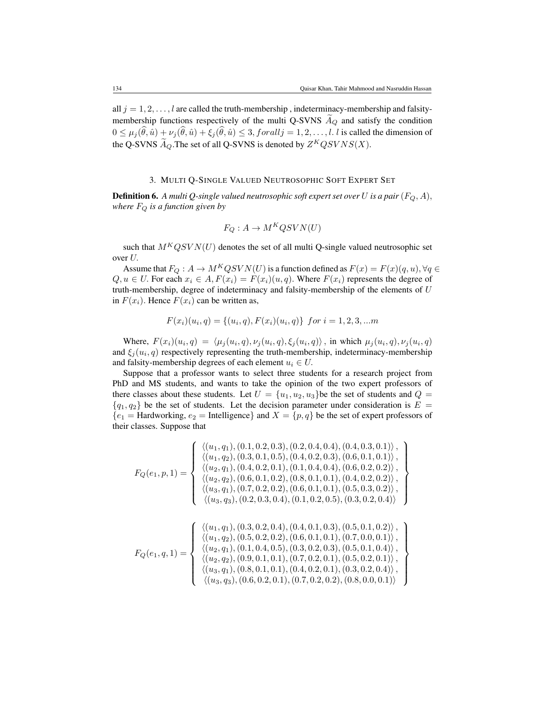all  $j = 1, 2, \ldots, l$  are called the truth-membership, indeterminacy-membership and falsitymembership functions respectively of the multi Q-SVNS  $A_Q$  and satisfy the condition  $0 \leq \mu_i(\hat{\theta}, \hat{u}) + \nu_i(\hat{\theta}, \hat{u}) + \xi_i(\hat{\theta}, \hat{u}) \leq 3$ , forall  $i = 1, 2, \ldots, l$ . l is called the dimension of the Q-SVNS  $\widetilde{A}_Q$ . The set of all Q-SVNS is denoted by  $Z^KQSVNS(X)$ .

### 3. MULTI Q-SINGLE VALUED NEUTROSOPHIC SOFT EXPERT SET

**Definition 6.** A multi Q-single valued neutrosophic soft expert set over U is a pair  $(F_Q, A)$ , *where*  $F_Q$  *is a function given by* 

$$
F_Q: A \to M^K QSVN(U)
$$

such that  $M<sup>K</sup>QSVN(U)$  denotes the set of all multi Q-single valued neutrosophic set over U.

Assume that  $F_Q: A \to M^KQSVN(U)$  is a function defined as  $F(x) = F(x)(q, u)$ ,  $\forall q \in$  $Q, u \in U$ . For each  $x_i \in A$ ,  $F(x_i) = F(x_i)(u, q)$ . Where  $F(x_i)$  represents the degree of truth-membership, degree of indeterminacy and falsity-membership of the elements of U in  $F(x_i)$ . Hence  $F(x_i)$  can be written as,

$$
F(x_i)(u_i, q) = \{(u_i, q), F(x_i)(u_i, q)\} \text{ for } i = 1, 2, 3, \dots m
$$

Where,  $F(x_i)(u_i, q) = \langle \mu_j(u_i, q), \nu_j(u_i, q), \xi_j(u_i, q) \rangle$ , in which  $\mu_j(u_i, q), \nu_j(u_i, q)$ and  $\xi_j(u_i, q)$  respectively representing the truth-membership, indeterminacy-membership and falsity-membership degrees of each element  $u_i \in U$ .

Suppose that a professor wants to select three students for a research project from PhD and MS students, and wants to take the opinion of the two expert professors of there classes about these students. Let  $U = \{u_1, u_2, u_3\}$  be the set of students and  $Q =$  ${q_1, q_2}$  be the set of students. Let the decision parameter under consideration is  $E =$  ${e_1 = \text{Hardworking}, e_2 = \text{Intelligence}}$  and  $X = {p, q}$  be the set of expert professors of their classes. Suppose that

$$
F_Q(e_1, p, 1) = \left\{\begin{array}{l}\langle (u_1, q_1), (0.1, 0.2, 0.3), (0.2, 0.4, 0.4), (0.4, 0.3, 0.1)\rangle \,, \\ \langle (u_1, q_2), (0.3, 0.1, 0.5), (0.4, 0.2, 0.3), (0.6, 0.1, 0.1)\rangle \,, \\ \langle (u_2, q_1), (0.4, 0.2, 0.1), (0.1, 0.4, 0.4), (0.6, 0.2, 0.2)\rangle \,, \\ \langle (u_2, q_2), (0.6, 0.1, 0.2), (0.8, 0.1, 0.1), (0.4, 0.2, 0.2)\rangle \,, \\ \langle (u_3, q_1), (0.7, 0.2, 0.2), (0.6, 0.1, 0.1), (0.5, 0.3, 0.2)\rangle \,, \\ \langle (u_3, q_3), (0.2, 0.3, 0.4), (0.1, 0.2, 0.5), (0.3, 0.2, 0.4)\rangle \end{array}\right\}
$$

$$
F_Q(e_1, q, 1) = \left\{\begin{array}{l}\langle (u_1, q_1), (0.3, 0.2, 0.4), (0.4, 0.1, 0.3), (0.5, 0.1, 0.2) \rangle \,, \\ \langle (u_1, q_2), (0.5, 0.2, 0.2), (0.6, 0.1, 0.1), (0.7, 0.0, 0.1) \rangle \,, \\ \langle (u_2, q_1), (0.1, 0.4, 0.5), (0.3, 0.2, 0.3), (0.5, 0.1, 0.4) \rangle \,, \\ \langle (u_2, q_2), (0.9, 0.1, 0.1), (0.7, 0.2, 0.1), (0.5, 0.2, 0.1) \rangle \,, \\ \langle (u_3, q_1), (0.8, 0.1, 0.1), (0.4, 0.2, 0.1), (0.3, 0.2, 0.4) \rangle \,, \\ \langle (u_3, q_3), (0.6, 0.2, 0.1), (0.7, 0.2, 0.2), (0.8, 0.0, 0.1) \rangle \end{array}\right\}
$$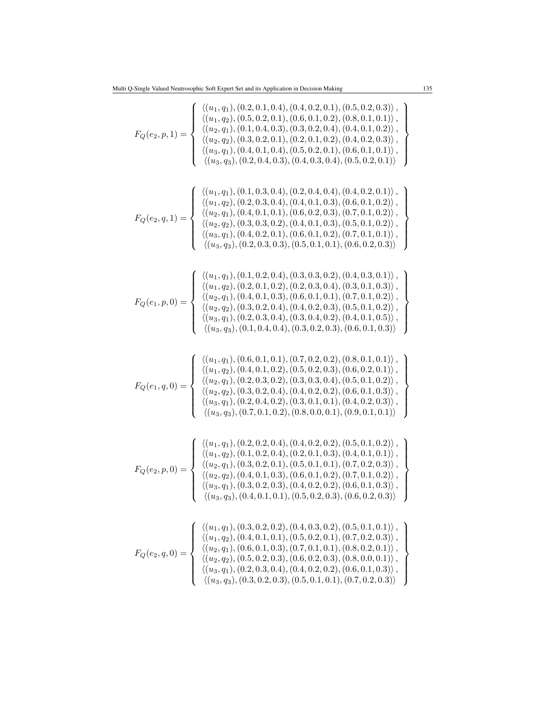$$
F_Q(e_2, p, 1) = \begin{cases} \n\langle (u_1, q_1), (0.2, 0.1, 0.2), (0.5, 0.2, 0.4), (0.4, 0.1, 0.2) \n\langle (u_2, q_2), (0.3, 0.2, 0.4), (0.4, 0.1, 0.2) \n\langle (u_2, q_2), (0.3, 0.2, 0.4), (0.4, 0.1, 0.2) \n\langle (u_2, q_2), (0.3, 0.2, 0.4), (0.4, 0.1, 0.2) \n\langle (u_3, q_3), (0.2, 0.4, 0.3), (0.4, 0.1, 0.2), (0.4, 0.1, 0.2) \n\langle (u_3, q_3), (0.2, 0.4, 0.3), (0.4, 0.3, 0.4), (0.5, 0.2, 0.1) \n\langle (u_3, q_3), (0.2, 0.4, 0.3), (0.4, 0.3, 0.4), (0.5, 0.2, 0.1) \n\langle (u_3, q_3), (0.2, 0.3, 0.4), (0.4, 0.1, 0.3), (0.6, 0.1, 0.2) \n\langle (u_3, q_1), (0.4, 0.1, 0.1), (0.6, 0.2, 0.3), (0.7, 0.1, 0.2) \n\langle (u_3, q_3), (0.2, 0.3, 0.4), (0.4, 0.1, 0.2), (0.7, 0.1, 0.2) \n\langle (u_3, q_3), (0.2, 0.3, 0.3), (0.5, 0.1, 0.1), (0.6, 0.2, 0.3, 0.2) \n\langle (u_3, q_3), (0.2, 0.3, 0.3), (0.5, 0.1, 0.1), (0.6, 0.2, 0.3) \n\langle (u_3, q_3), (0.2, 0.3, 0.3), (0.5, 0.1, 0.1) \n\langle (u_3, q_3), (0.2, 0.3, 0.3), (0.5, 0.1, 0.3)
$$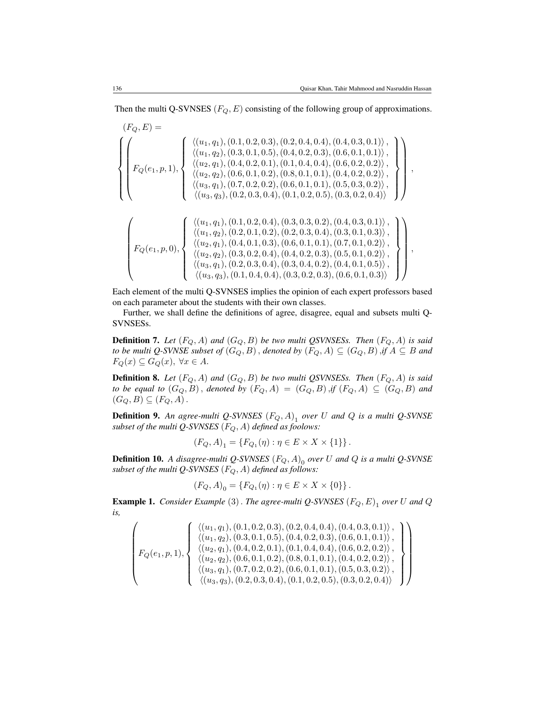Then the multi Q-SVNSES ( $F_Q, E$ ) consisting of the following group of approximations.

$$
(F_Q, E) = \begin{pmatrix} \langle (u_1, q_1), (0.1, 0.2, 0.3), (0.2, 0.4, 0.4), (0.4, 0.3, 0.1) \rangle, \\ \langle (u_1, q_2), (0.3, 0.1, 0.5), (0.4, 0.2, 0.3), (0.6, 0.1, 0.1) \rangle, \\ \langle (u_2, q_1), (0.4, 0.2, 0.1), (0.1, 0.4, 0.4), (0.6, 0.2, 0.2) \rangle, \\ \langle (u_3, q_1), (0.7, 0.2, 0.2), (0.8, 0.1, 0.1), (0.4, 0.2, 0.2) \rangle, \\ \langle (u_3, q_3), (0.2, 0.3, 0.4), (0.1, 0.2, 0.5), (0.3, 0.2, 0.4) \rangle \end{pmatrix},
$$
  
\n
$$
F_Q(e_1, p, 1), \begin{cases} \langle (u_1, q_1), (0.7, 0.2, 0.2), (0.8, 0.1, 0.1), (0.5, 0.3, 0.2) \rangle, \\ \langle (u_3, q_3), (0.2, 0.3, 0.4), (0.1, 0.2, 0.5), (0.3, 0.2, 0.4) \rangle \end{cases},
$$
  
\n
$$
F_Q(e_1, p, 0), \begin{cases} \langle (u_1, q_1), (0.1, 0.2, 0.4), (0.3, 0.3, 0.2), (0.4, 0.3, 0.1) \rangle, \\ \langle (u_1, q_2), (0.2, 0.1, 0.2), (0.2, 0.3, 0.4), (0.3, 0.1, 0.3) \rangle, \\ \langle (u_2, q_1), (0.4, 0.1, 0.3), (0.6, 0.1, 0.1), (0.7, 0.1, 0.2) \rangle, \\ \langle (u_3, q_1), (0.2, 0.3, 0.4), (0.3, 0.4, 0.2), (0.4, 0.1, 0.5) \rangle, \\ \langle (u_3, q_3), (0.1, 0.4, 0.
$$

Each element of the multi Q-SVNSES implies the opinion of each expert professors based on each parameter about the students with their own classes.

Further, we shall define the definitions of agree, disagree, equal and subsets multi Q-SVNSESs.

**Definition 7.** Let  $(F_Q, A)$  and  $(G_Q, B)$  be two multi QSVNSESs. Then  $(F_Q, A)$  is said *to be multi Q-SVNSE subset of*  $(G_Q, B)$ , *denoted by*  $(F_Q, A) \subseteq (G_Q, B)$ , *if*  $A \subseteq B$  *and*  $F_Q(x) \subseteq G_Q(x)$ ,  $\forall x \in A$ .

**Definition 8.** Let  $(F_Q, A)$  and  $(G_Q, B)$  be two multi QSVNSESs. Then  $(F_Q, A)$  is said *to be equal to*  $(G_Q, B)$ , *denoted by*  $(F_Q, A) = (G_Q, B)$ , *if*  $(F_Q, A) \subseteq (G_Q, B)$  *and*  $(G_Q, B) \subseteq (F_Q, A)$ .

Definition 9. *An agree-multi Q-SVNSES* (FQ, A) 1 *over* U *and* Q *is a multi Q-SVNSE subset of the multi Q-SVNSES*  $(F_Q, A)$  *defined as foolows:* 

$$
(F_Q, A)_1 = \{ F_{Q_1}(\eta) : \eta \in E \times X \times \{1\} \}.
$$

Definition 10. *A disagree-multi Q-SVNSES* (FQ, A) 0 *over* U *and* Q *is a multi Q-SVNSE subset of the multi Q-SVNSES*  $(F_Q, A)$  *defined as follows:* 

$$
(F_Q, A)_0 = \{ F_{Q_1}(\eta) : \eta \in E \times X \times \{0\} \}.
$$

Example 1. *Consider Example* (3). *The agree-multi Q-SVNSES* (FQ, E) 1 *over* U *and* Q *is,*

$$
\left( F_Q(e_1,p,1), \left\{ \begin{array}{l} \left\langle (u_1,q_1), (0.1, 0.2, 0.3), (0.2, 0.4, 0.4), (0.4, 0.3, 0.1) \right\rangle, \\ \left\langle (u_1,q_2), (0.3, 0.1, 0.5), (0.4, 0.2, 0.3), (0.6, 0.1, 0.1) \right\rangle, \\ \left\langle (u_2,q_1), (0.4, 0.2, 0.1), (0.1, 0.4, 0.4), (0.6, 0.2, 0.2) \right\rangle, \\ \left\langle (u_2,q_2), (0.6, 0.1, 0.2), (0.8, 0.1, 0.1), (0.4, 0.2, 0.2) \right\rangle, \\ \left\langle (u_3,q_1), (0.7, 0.2, 0.2), (0.6, 0.1, 0.1), (0.5, 0.3, 0.2) \right\rangle, \\ \left\langle (u_3,q_3), (0.2, 0.3, 0.4), (0.1, 0.2, 0.5), (0.3, 0.2, 0.4) \right\rangle \end{array} \right\}
$$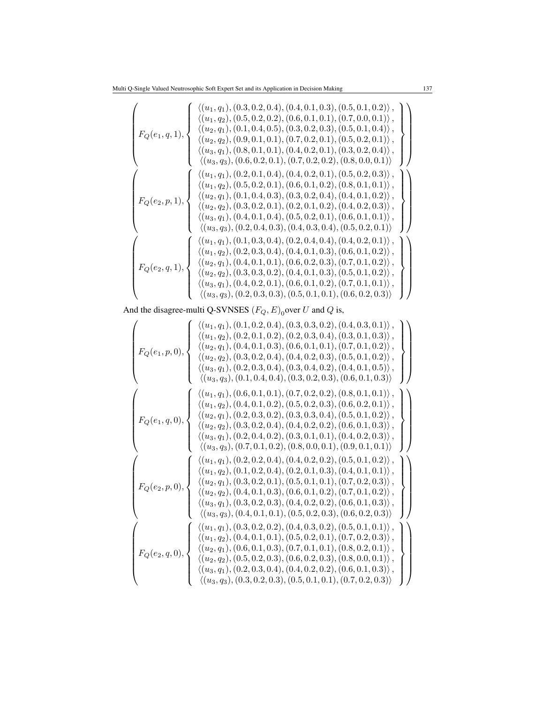$$
\begin{pmatrix}\n\langle (u_1, q_1), (0.3, 0.2, 0.4), (0.4, 0.1, 0.3), (0.5, 0.1, 0.2) \rangle, \\
\langle (u_2, q_1), (0.1, 0.4, 0.5), (0.3, 0.2, 0.3), (0.5, 0.1, 0.4) \rangle, \\
\langle (u_2, q_2), (0.9, 0.1, 0.1), (0.7, 0.2, 0.3), (0.5, 0.1, 0.4) \rangle, \\
\langle (u_3, q_1), (0.8, 0.1, 0.1), (0.7, 0.2, 0.1), (0.5, 0.2, 0.1) \rangle, \\
\langle (u_3, q_3), (0.6, 0.2, 0.1), (0.4, 0.2, 0.1), (0.3, 0.2, 0.4) \rangle, \\
\langle (u_3, q_3), (0.6, 0.2, 0.1), (0.4, 0.2, 0.1), (0.5, 0.2, 0.3) \rangle, \\
\langle (u_1, q_1), (0.2, 0.1, 0.4), (0.4, 0.2, 0.1), (0.5, 0.2, 0.3) \rangle, \\
\langle (u_1, q_2), (0.5, 0.2, 0.1), (0.6, 0.1, 0.2), (0.8, 0.1, 0.1) \rangle, \\
\langle (u_2, q_1), (0.1, 0.4, 0.3), (0.3, 0.2, 0.4), (0.4, 0.1, 0.2) \rangle, \\
\langle (u_3, q_1), (0.4, 0.1, 0.4), (0.5, 0.2, 0.1), (0.6, 0.1, 0.1) \rangle, \\
\langle (u_3, q_3), (0.2, 0.4, 0.3), (0.4, 0.3, 0.4), (0.5, 0.2, 0.1) \rangle, \\
\langle (u_3, q_3), (0.2, 0.4, 0.3), (0.4, 0.3, 0.4), (0.5, 0.2, 0.1) \rangle, \\
\langle (u_1, q_2), (0.2, 0.3, 0.4), (0.2, 0
$$

And the disagree-multi Q-SVNSES  $(F_Q, E)_0$  over U and Q is,

$$
\begin{pmatrix}\n\langle (u_1, q_1), (0.1, 0.2, 0.4), (0.3, 0.3, 0.2), (0.4, 0.3, 0.1), \\
\langle (u_2, q_1), (0.4, 0.1, 0.3), (0.6, 0.1, 0.1), (0.7, 0.1, 0.2)\rangle, \\
\langle (u_2, q_2), (0.3, 0.2, 0.4), (0.4, 0.2, 0.3), (0.5, 0.1, 0.2)\rangle, \\
\langle (u_3, q_1), (0.2, 0.3, 0.4), (0.3, 0.2, 0.3), (0.5, 0.1, 0.2)\rangle, \\
\langle (u_3, q_3), (0.1, 0.4, 0.4), (0.3, 0.2, 0.3), (0.6, 0.1, 0.3)\rangle\n\end{pmatrix}
$$
\n
$$
\begin{pmatrix}\n\langle u_1, q_1), (0.6, 0.1, 0.1), (0.7, 0.2, 0.2), (0.4, 0.1, 0.5)\rangle, \\
\langle (u_3, q_3), (0.1, 0.4, 0.4), (0.3, 0.2, 0.3), (0.6, 0.1, 0.3)\rangle\n\end{pmatrix}
$$
\n
$$
\begin{pmatrix}\n\langle u_1, q_1), (0.6, 0.1, 0.1), (0.7, 0.2, 0.2), (0.8, 0.1, 0.1)\rangle, \\
\langle (u_2, q_2), (0.4, 0.1, 0.2), (0.5, 0.2, 0.3), (0.6, 0.2, 0.1)\rangle, \\
\langle (u_3, q_1), (0.2, 0.3, 0.2), (0.3, 0.3, 0.4), (0.5, 0.1, 0.2)\rangle\n\end{pmatrix}
$$
\n
$$
\begin{pmatrix}\n\langle u_1, q_1), (0.2, 0.2, 0.4), (0.4, 0.2, 0.2), (0.8, 0.1, 0.1)\rangle, \\
\langle (u_2, q_2), (0.3, 0.2, 0.4), (0.4, 0.2, 0.2), (0.6, 0.
$$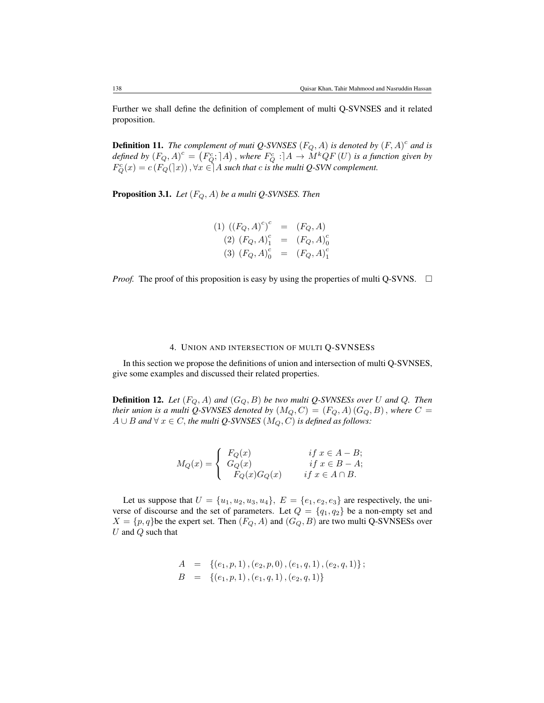Further we shall define the definition of complement of multi Q-SVNSES and it related proposition.

**Definition 11.** The complement of muti Q-SVNSES  $(F_Q, A)$  is denoted by  $(F, A)^c$  and is defined by  $(F_Q, A)^c = (F_Q^c; A)$ , where  $F_Q^c : A \to M^k QF(U)$  is a function given by  $F_Q^c(x) = c(F_Q(\exists x))$ ,  $\forall x \in ]A$  such that c is the multi Q-SVN complement.

Proposition 3.1. *Let* (FQ, A) *be a multi Q-SVNSES. Then*

(1) 
$$
((F_Q, A)^c)^c = (F_Q, A)
$$
  
\n(2)  $(F_Q, A)^c_1 = (F_Q, A)^c_0$   
\n(3)  $(F_Q, A)^c_0 = (F_Q, A)^c_1$ 

*Proof.* The proof of this proposition is easy by using the properties of multi Q-SVNS.  $\Box$ 

## 4. UNION AND INTERSECTION OF MULTI Q-SVNSESS

In this section we propose the definitions of union and intersection of multi Q-SVNSES, give some examples and discussed their related properties.

**Definition 12.** Let  $(F_Q, A)$  and  $(G_Q, B)$  be two multi Q-SVNSESs over U and Q. Then *their union is a multi Q-SVNSES denoted by*  $(M_Q, C) = (F_Q, A) (G_Q, B)$ , *where*  $C =$  $A ∪ B$  *and*  $∀ x ∈ C$ *, the multi Q-SVNSES* ( $M_Q, C$ ) *is defined as follows:* 

$$
M_Q(x) = \begin{cases} F_Q(x) & \text{if } x \in A - B; \\ G_Q(x) & \text{if } x \in B - A; \\ F_Q(x)G_Q(x) & \text{if } x \in A \cap B. \end{cases}
$$

Let us suppose that  $U = \{u_1, u_2, u_3, u_4\}$ ,  $E = \{e_1, e_2, e_3\}$  are respectively, the universe of discourse and the set of parameters. Let  $Q = \{q_1, q_2\}$  be a non-empty set and  $X = \{p, q\}$ be the expert set. Then  $(F_Q, A)$  and  $(G_Q, B)$  are two multi Q-SVNSESs over U and  $Q$  such that

$$
A = \{ (e_1, p, 1), (e_2, p, 0), (e_1, q, 1), (e_2, q, 1) \};
$$
  

$$
B = \{ (e_1, p, 1), (e_1, q, 1), (e_2, q, 1) \}
$$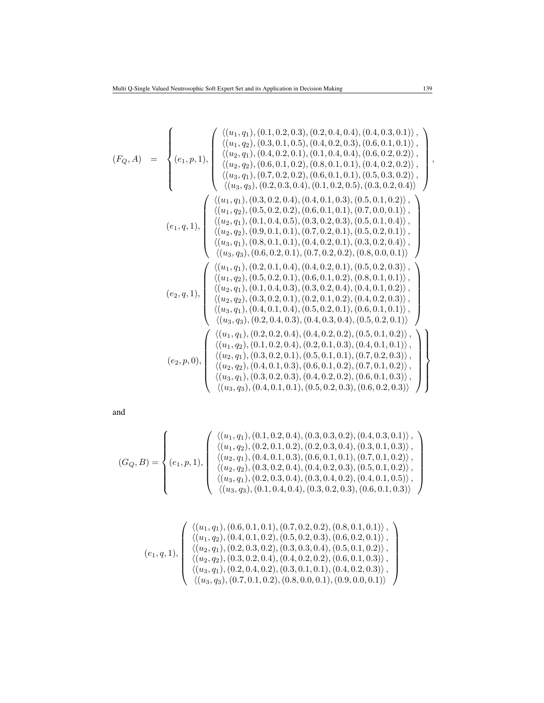$$
(F_Q, A) = \begin{cases} \n\langle (u_1, q_1), (0.1, 0.2, 0.3), (0.2, 0.4, 0.4), (0.4, 0.3, 0.1) \rangle, \\
\langle (u_2, q_1), (0.4, 0.2, 0.1), (0.4, 0.4, 0.4), (0.6, 0.2, 0.2) \rangle, \\
\langle (u_3, q_1), (0.7, 0.2, 0.2), (0.8, 0.1, 0.1), (0.4, 0.2, 0.2) \rangle, \\
\langle (u_3, q_2), (0.6, 0.1, 0.2), (0.8, 0.1, 0.1), (0.4, 0.2, 0.2) \rangle, \\
\langle (u_3, q_3), (0.2, 0.3, 0.4), (0.1, 0.2, 0.5), (0.3, 0.2, 0.4) \rangle\n\end{cases}
$$
\n
$$
(e_1, q_1), \begin{pmatrix} (0.3, 0.2, 0.4), (0.4, 0.1, 0.1), (0.5, 0.3, 0.2) \rangle, \\
\langle (u_1, q_2), (0.5, 0.2, 0.2), (0.6, 0.1, 0.1), (0.7, 0.0, 0.1) \rangle, \\
\langle (u_2, q_1), (0.1, 0.4, 0.5), (0.3, 0.2, 0.3), (0.5, 0.1, 0.2) \rangle, \\
\langle (u_3, q_1), (0.8, 0.2, 0.2), (0.6, 0.1, 0.1), (0.7, 0.2, 0.1), (0.5, 0.2, 0.1) \rangle, \\
\langle (u_3, q_1), (0.8, 0.1, 0.1), (0.4, 0.2, 0.1), (0.5, 0.2, 0.1) \rangle, \\
\langle (u_3, q_3), (0.6, 0.2, 0.1), (0.4, 0.2, 0.1), (0.5, 0.2, 0.1) \rangle, \\
\langle (u_3, q_3), (0.6, 0.2, 0.1), (0.4, 0.2, 0.1), (0.5, 0.2, 0.3
$$

and

$$
(G_Q, B) = \left\{ (e_1, p, 1), \begin{pmatrix} \langle (u_1, q_1), (0.1, 0.2, 0.4), (0.3, 0.3, 0.2), (0.4, 0.3, 0.1) \rangle, \\ \langle (u_1, q_2), (0.2, 0.1, 0.2), (0.2, 0.3, 0.4), (0.3, 0.1, 0.3) \rangle, \\ \langle (u_2, q_1), (0.4, 0.1, 0.3), (0.6, 0.1, 0.1), (0.7, 0.1, 0.2) \rangle, \\ \langle (u_2, q_2), (0.3, 0.2, 0.4), (0.4, 0.2, 0.3), (0.5, 0.1, 0.2) \rangle, \\ \langle (u_3, q_1), (0.2, 0.3, 0.4), (0.3, 0.4, 0.2), (0.4, 0.1, 0.5) \rangle, \\ \langle (u_3, q_3), (0.1, 0.4, 0.4), (0.3, 0.2, 0.3), (0.6, 0.1, 0.3) \rangle \end{pmatrix} \right\}
$$

$$
(e_1,q,1),\left(\begin{array}{l} \langle (u_1,q_1), (0.6,0.1,0.1), (0.7,0.2,0.2), (0.8,0.1,0.1) \rangle\,,\\ \langle (u_1,q_2), (0.4,0.1,0.2), (0.5,0.2,0.3), (0.6,0.2,0.1) \rangle\,,\\ \langle (u_2,q_1), (0.2,0.3,0.2), (0.3,0.3,0.4), (0.5,0.1,0.2) \rangle\,,\\ \langle (u_2,q_2), (0.3,0.2,0.4), (0.4,0.2,0.2), (0.6,0.1,0.3) \rangle\,,\\ \langle (u_3,q_1), (0.2,0.4,0.2), (0.3,0.1,0.1), (0.4,0.2,0.3) \rangle\,,\\ \langle (u_3,q_3), (0.7,0.1,0.2), (0.8,0.0,0.1), (0.9,0.0,0.1) \rangle\end{array}\right)
$$

,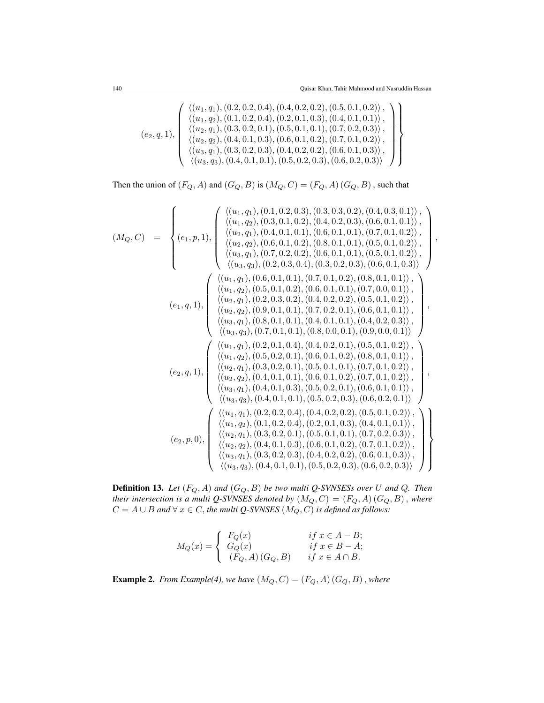$$
(e_2, q, 1), \left\{ \begin{array}{l} \langle (u_1, q_1), (0.2, 0.2, 0.4), (0.4, 0.2, 0.2), (0.5, 0.1, 0.2) \rangle \,, \\ \langle (u_1, q_2), (0.1, 0.2, 0.4), (0.2, 0.1, 0.3), (0.4, 0.1, 0.1) \rangle \,, \\ \langle (u_2, q_1), (0.3, 0.2, 0.1), (0.5, 0.1, 0.1), (0.7, 0.2, 0.3) \rangle \,, \\ \langle (u_2, q_2), (0.4, 0.1, 0.3), (0.6, 0.1, 0.2), (0.7, 0.1, 0.2) \rangle \,, \\ \langle (u_3, q_1), (0.3, 0.2, 0.3), (0.4, 0.2, 0.2), (0.6, 0.1, 0.3) \rangle \,, \\ \langle (u_3, q_3), (0.4, 0.1, 0.1), (0.5, 0.2, 0.3), (0.6, 0.2, 0.3) \rangle \end{array} \right\}
$$

Then the union of  $(F_Q, A)$  and  $(G_Q, B)$  is  $(M_Q, C) = (F_Q, A) (G_Q, B)$ , such that

$$
(M_Q, C) = \begin{cases}\n\langle (u_1, q_1), (0.1, 0.2, 0.3), (0.3, 0.3, 0.2), (0.4, 0.3, 0.1)\rangle, \\
\langle (u_2, q_1), (0.4, 0.1, 0.1), (0.6, 0.1, 0.1), (0.7, 0.1, 0.2)\rangle, \\
\langle (u_3, q_1), (0.7, 0.2, 0.2), (0.8, 0.1, 0.1), (0.5, 0.1, 0.2)\rangle, \\
\langle (u_3, q_2), (0.6, 0.1, 0.2), (0.8, 0.1, 0.1), (0.5, 0.1, 0.2)\rangle, \\
\langle (u_3, q_3), (0.2, 0.3, 0.4), (0.3, 0.2, 0.3), (0.6, 0.1, 0.1)\rangle, \\
\langle (u_1, q_2), (0.5, 0.1, 0.1), (0.7, 0.1, 0.2), (0.8, 0.1, 0.1)\rangle, \\
\langle (u_1, q_2), (0.5, 0.1, 0.1), (0.7, 0.1, 0.2), (0.8, 0.1, 0.1)\rangle, \\
\langle (u_2, q_1), (0.2, 0.3, 0.2), (0.4, 0.2, 0.2), (0.5, 0.1, 0.2)\rangle, \\
\langle (u_2, q_2), (0.9, 0.1, 0.1), (0.7, 0.2, 0.1), (0.6, 0.1, 0.1)\rangle, \\
\langle (u_3, q_1), (0.8, 0.1, 0.1), (0.4, 0.2, 0.2), (0.5, 0.1, 0.2)\rangle, \\
\langle (u_3, q_3), (0.7, 0.1, 0.1), (0.4, 0.1, 0.1), (0.4, 0.2, 0.3)\rangle, \\
\langle (u_3, q_3), (0.7, 0.1, 0.1), (0.8, 0.0, 0.1), (0.9, 0.0, 0.1)\rangle, \\
\langle (u_3, q_3), (0.7, 0.1, 0.1), (0.8, 0.0, 0.
$$

Definition 13. *Let* (FQ, A) *and* (GQ, B) *be two multi Q-SVNSESs over* U *and* Q*. Then their intersection is a multi Q-SVNSES denoted by*  $(M_Q, C) = (F_Q, A)$   $(G_Q, B)$  , where  $C = A \cup B$  and  $\forall x \in C$ , the multi Q-SVNSES  $(M_Q, C)$  is defined as follows:

$$
M_Q(x) = \begin{cases} F_Q(x) & \text{if } x \in A - B; \\ G_Q(x) & \text{if } x \in B - A; \\ (F_Q, A) (G_Q, B) & \text{if } x \in A \cap B. \end{cases}
$$

**Example 2.** *From Example(4), we have*  $(M_Q, C) = (F_Q, A) (G_Q, B)$ , *where*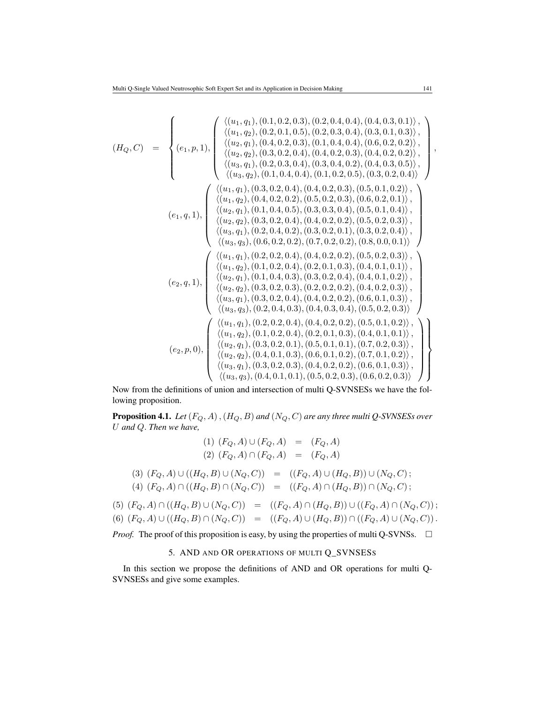$$
(H_Q, C) = \begin{cases} \n\langle (u_1, q_1), (0.1, 0.2, 0.3), (0.2, 0.4, 0.4), (0.3, 0.1), (0.4, 0.3), (0.4, 0.2), (0.5, 0.1), (0.6, 0.2), (0.5, 0.1), (0.6, 0.2), (0.6, 0.1), (0.7, 0.2), (0.8, 0.3), (0.4, 0.2, 0.3), (0.4, 0.2, 0.3), (0.4, 0.2, 0.2), (0.4, 0.3, 0.5), (0.4, 0.2, 0.3), (0.4, 0.2, 0.5), (0.4, 0.2, 0.5), (0.4, 0.2, 0.5), (0.4, 0.2, 0.4), (0.4, 0.2, 0.5), (0.3, 0.2, 0.4), (0.4, 0.2, 0.5), (0.3, 0.2, 0.4), (0.4, 0.2, 0.5), (0.3, 0.2, 0.4), (0.4, 0.2, 0.5), (0.3, 0.2, 0.4), (0.4, 0.2, 0.5), (0.3, 0.2, 0.1), (0.4, 0.2, 0.2), (0.5, 0.2, 0.3), (0.5, 0.1, 0.2), (0.5, 0.2, 0.3), (0.5, 0.1, 0.2), (0.5, 0.2, 0.3), (0.5, 0.2, 0.3), (0.5, 0.2, 0.3), (0.5, 0.2, 0.3), (0.5, 0.2, 0.3), (0.5, 0.2, 0.3), (0.5, 0.2, 0.3), (0.5, 0.2, 0.3), (0.5, 0.2, 0.3), (0.5, 0.2, 0.3), (0.5, 0.2, 0.3), (0.5, 0.2, 0.3), (0.5, 0.2, 0.2), (0.5, 0.2, 0.3), (0.5, 0.2, 0.3), (0.4, 0.2, 0.2), (0.5,
$$

Now from the definitions of union and intersection of multi Q-SVNSESs we have the following proposition.

Proposition 4.1. *Let* (FQ, A),(HQ, B) *and* (NQ, C) *are any three multi Q-SVNSESs over* U *and* Q. *Then we have,*

$$
(1) (F_Q, A) \cup (F_Q, A) = (F_Q, A)
$$
  
\n
$$
(2) (F_Q, A) \cap (F_Q, A) = (F_Q, A)
$$
  
\n
$$
(3) (F_Q, A) \cup ((H_Q, B) \cup (N_Q, C)) = ((F_Q, A) \cup (H_Q, B)) \cup (N_Q, C);
$$
  
\n
$$
(4) (F_Q, A) \cap ((H_Q, B) \cap (N_Q, C)) = ((F_Q, A) \cap (H_Q, B)) \cap (N_Q, C);
$$
  
\n
$$
(5) (F_Q, A) \cap ((H_Q, B) \cup (N_Q, C)) = ((F_Q, A) \cap (H_Q, B)) \cup ((F_Q, A) \cap (N_Q, C))
$$

$$
(5) (F_Q, A) \cap ((H_Q, B) \cup (N_Q, C)) = ((F_Q, A) \cap (H_Q, B)) \cup ((F_Q, A) \cap (N_Q, C));
$$
  

$$
(6) (F_Q, A) \cup ((H_Q, B) \cap (N_Q, C)) = ((F_Q, A) \cup (H_Q, B)) \cap ((F_Q, A) \cup (N_Q, C)).
$$

*Proof.* The proof of this proposition is easy, by using the properties of multi Q-SVNSs.  $\Box$ 

## 5. AND AND OR OPERATIONS OF MULTI Q\_SVNSESS

In this section we propose the definitions of AND and OR operations for multi Q-SVNSESs and give some examples.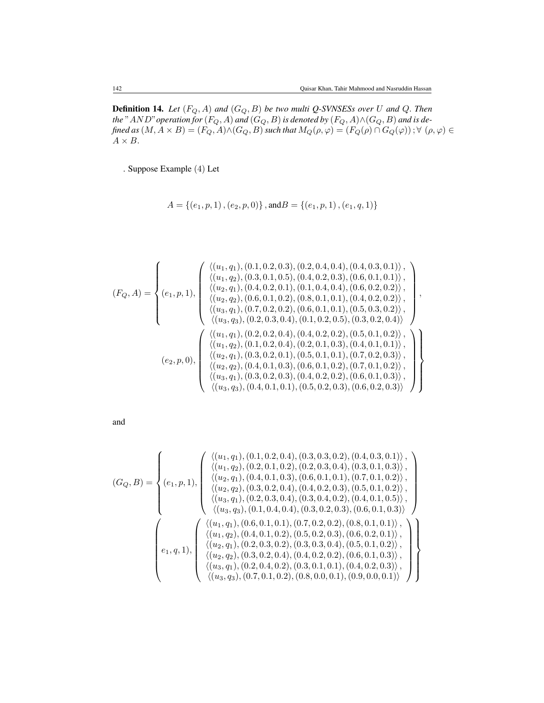Definition 14. *Let* (FQ, A) *and* (GQ, B) *be two multi Q-SVNSESs over* U *and* Q. *Then* the "  $AND$ " operation for  $(F_Q, A)$  and  $(G_Q, B)$  is denoted by  $(F_Q, A) \wedge (G_Q, B)$  and is de*fined as*  $(M, A \times B) = (F_Q, A) \wedge (G_Q, B)$  such that  $M_Q(\rho, \varphi) = (F_Q(\rho) \cap G_Q(\varphi))$  ;  $\forall \ (\rho, \varphi) \in$  $A \times B$ .

. Suppose Example (4) Let

$$
A = \{ (e_1, p, 1), (e_2, p, 0) \}, \text{and} B = \{ (e_1, p, 1), (e_1, q, 1) \}
$$

$$
(F_Q, A) = \begin{cases} \langle (u_1, q_1), (0.1, 0.2, 0.3), (0.2, 0.4, 0.4), (0.4, 0.3, 0.1) \rangle, \\ \langle (u_1, q_2), (0.3, 0.1, 0.5), (0.4, 0.2, 0.3), (0.6, 0.1, 0.1) \rangle, \\ \langle (u_2, q_1), (0.4, 0.2, 0.1), (0.1, 0.4, 0.4), (0.6, 0.2, 0.2) \rangle, \\ \langle (u_2, q_2), (0.6, 0.1, 0.2), (0.8, 0.1, 0.1), (0.4, 0.2, 0.2) \rangle, \\ \langle (u_3, q_1), (0.7, 0.2, 0.2), (0.6, 0.1, 0.1), (0.5, 0.3, 0.2) \rangle, \\ \langle (u_3, q_3), (0.2, 0.3, 0.4), (0.1, 0.2, 0.5), (0.3, 0.2, 0.4) \rangle \end{cases},
$$

$$
(e_2, p, 0), \begin{cases} \langle (u_1, q_1), (0.2, 0.2, 0.4), (0.4, 0.2, 0.5), (0.3, 0.2, 0.4) \rangle, \\ \langle (u_2, q_1), (0.2, 0.2, 0.4), (0.4, 0.2, 0.2), (0.5, 0.1, 0.2) \rangle, \\ \langle (u_1, q_2), (0.1, 0.2, 0.4), (0.2, 0.1, 0.3), (0.4, 0.1, 0.1) \rangle, \\ \langle (u_2, q_1), (0.3, 0.2, 0.1), (0.5, 0.1, 0.2), (0.7, 0.1, 0.2) \rangle, \\ \langle (u_3, q_1), (0.3, 0.2, 0.3), (0.4, 0.2, 0.2), (0.6, 0.1, 0.3) \rangle, \\ \langle (u_3, q_3), (0.4, 0.1, 0.1), (0.5, 0.2, 0.3), (0.6, 0.2, 0.3) \rangle \end{cases},
$$

and

$$
(G_Q,B) = \begin{cases} \langle (u_1,q_1), (0.1, 0.2, 0.4), (0.3, 0.3, 0.2), (0.4, 0.3, 0.1) \rangle, \\ \langle (u_2,q_1), (0.4, 0.1, 0.3), (0.6, 0.1, 0.1), (0.7, 0.1, 0.2) \rangle, \\ \langle (u_2,q_2), (0.3, 0.2, 0.4), (0.4, 0.2, 0.3), (0.5, 0.1, 0.2) \rangle, \\ \langle (u_3,q_1), (0.2, 0.3, 0.4), (0.3, 0.4, 0.2), (0.4, 0.1, 0.5) \rangle, \\ \langle (u_3,q_3), (0.1, 0.4, 0.4), (0.3, 0.2, 0.3), (0.6, 0.1, 0.3) \rangle \end{cases}, \quad (2, 0, 1, 0, 1, 0, 1, 0, 1, 0, 1, 0, 1, 0, 1, 0, 1, 0, 1, 0, 1, 0, 1, 0, 1, 0, 1, 0, 1, 0, 1, 0, 1, 0, 1, 0, 1, 0, 1, 0, 1, 0, 1, 0, 1, 0, 1, 0, 1, 0, 1, 0, 1, 0, 1, 0, 1, 0, 1, 0, 1, 0, 1, 0, 1, 0, 1, 0, 1, 0, 1, 0, 1, 0, 1, 0, 1, 0, 1, 0, 1, 0, 2, 0, 1, 0, 1, 0, 1, 0, 1, 0, 1, 0, 1, 0, 1, 0, 1, 0, 1, 0, 1, 0, 1, 0, 1, 0, 1, 0, 1, 0, 1, 0, 1, 0, 1, 0, 1, 0, 1, 0, 1, 0, 1, 0, 1, 0, 1, 0, 1, 0, 1, 0, 1, 0, 1, 0, 1, 0, 1, 0, 1, 0, 1, 0, 1, 0, 1, 0
$$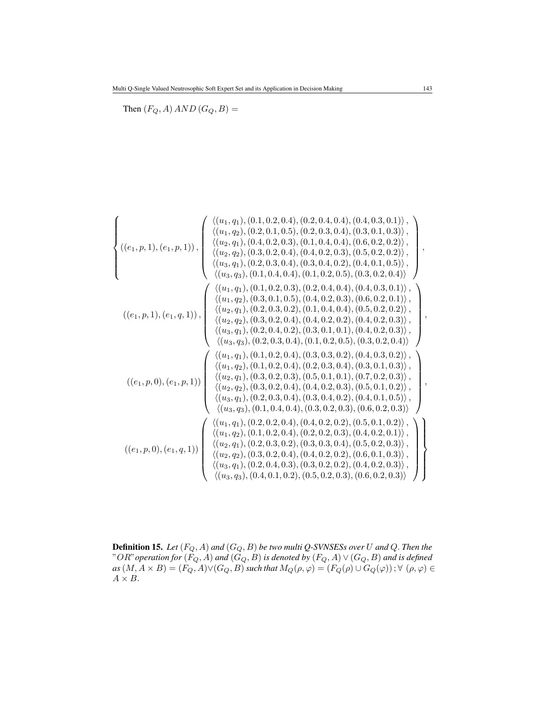Then  $(F_Q, A)$   $AND$   $(G_Q, B)$  =

$$
\left\{ \begin{array}{c} \langle (u_1, q_1), (0.1, 0.2, 0.4), (0.3, 0.2), (0.4, 0.3), (0.3, 0.1), (0.4, 0.2, 0.3) \rangle, \\ \langle (u_2, q_1), (0.4, 0.2, 0.3), (0.1, 0.4, 0.4), (0.5, 0.2, 0.2) \rangle, \\ \langle (u_3, q_1), (0.2, 0.3, 0.4), (0.4, 0.2, 0.5), (0.3, 0.2, 0.4) \rangle \end{array} \right\},
$$
  
\n
$$
\left\{ \begin{array}{c} \langle (u_1, q_2), (0.3, 0.2, 0.4), (0.4, 0.2, 0.3), (0.5, 0.2, 0.2) \rangle, \\ \langle (u_3, q_1), (0.2, 0.3, 0.4), (0.4, 0.2, 0.3), (0.4, 0.1, 0.5) \rangle, \\ \langle (u_3, q_3), (0.1, 0.4, 0.4), (0.1, 0.2, 0.5), (0.3, 0.2, 0.4) \rangle \end{array} \right\},
$$
  
\n
$$
\left\{ \begin{array}{c} \langle (u_1, q_1), (0.1, 0.2, 0.3), (0.2, 0.4, 0.2), (0.4, 0.1, 0.5) \rangle, \\ \langle (u_2, q_2), (0.3, 0.1, 0.5), (0.4, 0.2, 0.3), (0.6, 0.2, 0.1) \rangle, \\ \langle (u_1, q_2), (0.3, 0.1, 0.5), (0.4, 0.2, 0.3), (0.6, 0.2, 0.1) \rangle, \\ \langle (u_2, q_2), (0.3, 0.2, 0.4), (0.4, 0.2, 0.2), (0.4, 0.2, 0.3) \rangle, \\ \langle (u_3, q_3), (0.2, 0.3, 0.2), (0.1, 0.4, 0.2, 0.5), (0.3, 0.2, 0.3) \rangle, \\ \langle (u_3, q_3),
$$

Definition 15. *Let* (FQ, A) *and* (GQ, B) *be two multi Q-SVNSESs over* U *and* Q. *Then the*  $"OR"$  operation for  $(F_Q, A)$  and  $(G_Q, B)$  is denoted by  $(F_Q, A) \vee (G_Q, B)$  and is defined  $as(M,A\times B)=(F_Q,A)\vee (G_Q,B)$  such that  $M_Q(\rho,\varphi)=(F_Q(\rho)\cup G_Q(\varphi))$  ;  $\forall\,\,(\rho,\varphi)\in$  $A\times B.$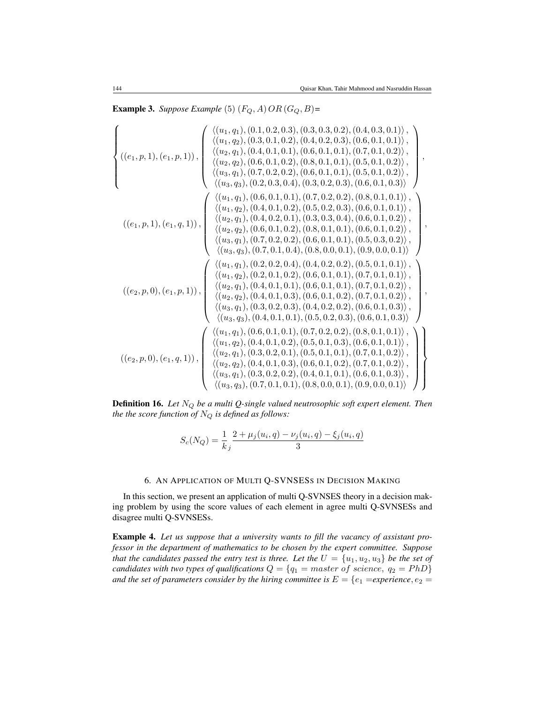**Example 3.** Suppose Example (5)  $(F_Q, A)$   $OR$   $(G_Q, B)$ =

$$
\left\{ \begin{array}{c} \langle (u_1,q_1), (0.1,0.2,0.3), (0.3,0.3,0.2), (0.4,0.3,0.1), \\ \langle (u_2,q_1), (0.4,0.1,0.1), (0.6,0.1,0.1), (0.5,0.1,0.2) \rangle, \\ \langle (u_2,q_2), (0.6,0.1,0.2), (0.8,0.1,0.1), (0.5,0.1,0.2) \rangle, \\ \langle (u_3,q_1), (0.7,0.2,0.2), (0.6,0.1,0.1), (0.5,0.1,0.2) \rangle, \\ \langle (u_3,q_3), (0.2,0.3,0.4), (0.3,0.2,0.3), (0.6,0.1,0.3) \rangle \end{array} \right\},
$$
  
\n
$$
\left\{ \begin{array}{c} \langle (u_1,q_1), (0.6,0.1,0.2), (0.8,0.1,0.1), (0.5,0.1,0.2) \rangle, \\ \langle (u_3,q_3), (0.2,0.3,0.4), (0.3,0.2,0.3), (0.6,0.1,0.3) \rangle \\ \langle (u_1,q_2), (0.4,0.1,0.2), (0.5,0.2,0.3), (0.6,0.1,0.1) \rangle, \\ \langle (u_1,q_2), (0.4,0.1,0.2), (0.5,0.2,0.3), (0.6,0.1,0.1) \rangle, \\ \langle (u_2,q_1), (0.4,0.2,0.1), (0.3,0.3,0.4), (0.6,0.1,0.2) \rangle, \\ \langle (u_3,q_1), (0.7,0.2,0.2), (0.8,0.1,0.1), (0.6,0.1,0.2) \rangle, \\ \langle (u_3,q_3), (0.7,0.1,0.4), (0.8,0.0,0.1), (0.5,0.3,0.2) \rangle, \\ \langle (u_3,q_3), (0.7,0.1,0.4), (0.8,0.0,0.1), (0.5,0.3,0.2) \rangle, \\ \langle (u_3,q_3), (0.7,0.1,0.2), (0.6,0.1,0.1
$$

**Definition 16.** Let  $N_Q$  be a multi Q-single valued neutrosophic soft expert element. Then *the the score function of*  $N_Q$  *is defined as follows:* 

$$
S_c(N_Q) = \frac{1}{k_j} \frac{2 + \mu_j(u_i, q) - \nu_j(u_i, q) - \xi_j(u_i, q)}{3}
$$

# 6. AN APPLICATION OF MULTI Q-SVNSESS IN DECISION MAKING

In this section, we present an application of multi Q-SVNSES theory in a decision making problem by using the score values of each element in agree multi Q-SVNSESs and disagree multi Q-SVNSESs.

Example 4. *Let us suppose that a university wants to fill the vacancy of assistant professor in the department of mathematics to be chosen by the expert committee. Suppose that the candidates passed the entry test is three. Let the*  $U = \{u_1, u_2, u_3\}$  *be the set of candidates with two types of qualifications*  $Q = \{q_1 = master\ of\ science,\ q_2 = PhD\}$ *and the set of parameters consider by the hiring committee is*  $E = \{e_1 = e^e\}$ *experience*,  $e_2 =$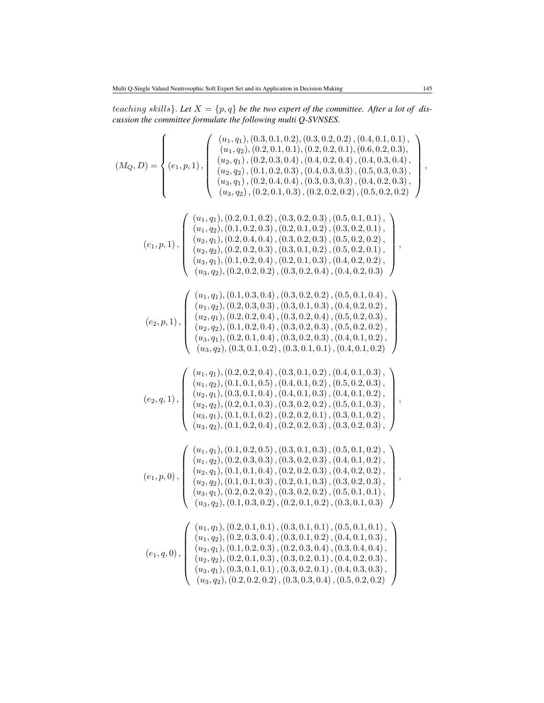teaching skills}. Let  $X = \{p, q\}$  be the two expert of the committee. After a lot of dis*cussion the committee formulate the following multi Q-SVNSES.*

$$
(M_Q,D)=\begin{cases} (u_1,q_1), (0.3,0.1,0.2), (0.3,0.2,0.2), (0.4,0.1,0.1),\\ (u_2,q_1), (0.2,0.3,0.4), (0.4,0.2,0.4), (0.4,0.3,0.4), (0.5,0.3,0.4),\\ (u_2,q_1), (0.2,0.3,0.4), (0.4,0.2,0.4), (0.5,0.3,0.3),\\ (u_3,q_1), (0.2,0.4,0.4), (0.3,0.3,0.3), (0.4,0.2,0.3),\\ (u_3,q_2), (0.2,0.1,0.2), (0.3,0.2,0.2), (0.5,0.2,0.2),\\ (u_2,q_1), (0.2,0.1,0.2), (0.3,0.2,0.3), (0.5,0.1,0.1),\\ (u_2,q_1), (0.2,0.4,0.4), (0.3,0.2,0.3), (0.5,0.2,0.2),\\ (u_2,q_2), (0.2,0.2,0.3), (0.2,0.1,0.2), (0.3,0.2,0.1),\\ (u_3,q_1), (0.1,0.2,0.4), (0.2,0.1,0.3), (0.5,0.2,0.1),\\ (u_3,q_1), (0.1,0.2,0.4), (0.2,0.1,0.3), (0.5,0.2,0.2),\\ (u_3,q_2), (0.2,0.2,0.2), (0.3,0.2,0.4), (0.5,0.2,0.2),\\ (u_3,q_2), (0.2,0.2,0.4), (0.2,0.1,0.3), (0.4,0.2,0.2),\\ (u_3,q_2), (0.2,0.2,0.4), (0.3,0.2,0.4), (0.4,0.2,0.2),\\ (u_3,q_2), (0.2,0.2,0.4), (0.3,0.2,0.4), (0.4,0.2,0.2),\\ (u_3,q_2), (0.2,0.2,0.4), (0.3,0.2,0.3), (0.5,0.2,0.3),\\ (u_3,q_2), (0.2,0.2,
$$

,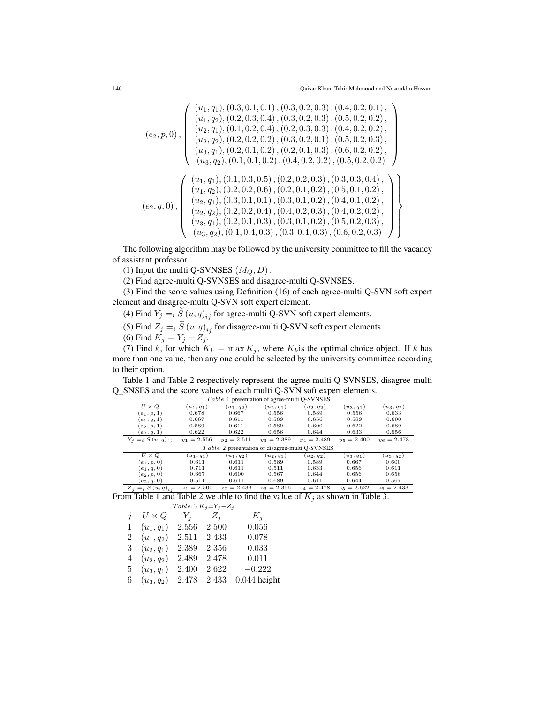$$
(e_2, p, 0), \begin{pmatrix} (u_1, q_1), (0.3, 0.1, 0.1), (0.3, 0.2, 0.3), (0.4, 0.2, 0.1), \\ (u_1, q_2), (0.2, 0.3, 0.4), (0.3, 0.2, 0.3), (0.5, 0.2, 0.2), \\ (u_2, q_1), (0.1, 0.2, 0.4), (0.2, 0.3, 0.3), (0.4, 0.2, 0.2), \\ (u_2, q_2), (0.2, 0.2, 0.2), (0.3, 0.2, 0.1), (0.5, 0.2, 0.3), \\ (u_3, q_1), (0.2, 0.1, 0.2), (0.2, 0.1, 0.3), (0.6, 0.2, 0.2), \\ (u_3, q_2), (0.1, 0.1, 0.2), (0.2, 0.2, 0.3), (0.3, 0.3, 0.4), \\ (u_1, q_1), (0.1, 0.3, 0.5), (0.2, 0.2, 0.3), (0.3, 0.3, 0.4), \\ (u_1, q_2), (0.2, 0.2, 0.6), (0.2, 0.1, 0.2), (0.5, 0.1, 0.2), \\ (u_2, q_1), (0.3, 0.1, 0.1), (0.3, 0.1, 0.2), (0.4, 0.1, 0.2), \\ (u_2, q_2), (0.2, 0.2, 0.4), (0.4, 0.2, 0.3), (0.4, 0.2, 0.3), \\ (u_3, q_1), (0.2, 0.1, 0.3), (0.3, 0.1, 0.2), (0.5, 0.2, 0.3), \\ (u_3, q_2), (0.1, 0.4, 0.3), (0.3, 0.4, 0.3), (0.6, 0.2, 0.3)\end{pmatrix}
$$

The following algorithm may be followed by the university committee to fill the vacancy of assistant professor.

(1) Input the multi Q-SVNSES  $(M_Q, D)$ .

(2) Find agree-multi Q-SVNSES and disagree-multi Q-SVNSES.

(3) Find the score values using Definition (16) of each agree-multi Q-SVN soft expert element and disagree-multi Q-SVN soft expert element.

(4) Find  $Y_j = i S(u, q)_{ij}$  for agree-multi Q-SVN soft expert elements.

(5) Find  $Z_j = i S(u, q)_{ij}$  for disagree-multi Q-SVN soft expert elements.

(6) Find  $K_j = Y_j - Z_j$ .

(7) Find k, for which  $K_k = \max K_j$ , where  $K_k$  is the optimal choice object. If k has more than one value, then any one could be selected by the university committee according to their option.

Table 1 and Table 2 respectively represent the agree-multi Q-SVNSES, disagree-multi Q\_SNSES and the score values of each multi Q-SVN soft expert elements.

| $U \times Q$                                           | $(u_1, q_1)$  | $(u_1, q_2)$  | $(u_2, q_1)$  | $(u_2, q_2)$  | $(u_3, q_1)$   | $(u_3, q_2)$  |  |
|--------------------------------------------------------|---------------|---------------|---------------|---------------|----------------|---------------|--|
| $(e_1, p, 1)$                                          | 0.678         | 0.667         | 0.556         | 0.589         | 0.556          | 0.633         |  |
| $(e_1, q, 1)$                                          | 0.667         | 0.611         | 0.589         | 0.656         | 0.589          | 0.600         |  |
| $(e_2, p, 1)$                                          | 0.589         | 0.611         | 0.589         | 0.600         | 0.622          | 0.689         |  |
| $(e_2, q, 1)$                                          | 0.622         | 0.622         | 0.656         | 0.644         | 0.633          | 0.556         |  |
| $Y_i =_i S(u, q)_{i,i}$                                | $y_1 = 2.556$ | $y_2 = 2.511$ | $y_3 = 2.389$ | $y_4 = 2.489$ | $y_5 = 2.400$  | $y_6 = 2.478$ |  |
| <i>Table 2</i> presentation of disagree-multi Q-SVNSES |               |               |               |               |                |               |  |
| $U \times Q$                                           | $u_1, q_1$    | $(u_1, q_2)$  | $(u_2, q_1)$  | $(u_2, q_2)$  | $\{u_3, q_1\}$ | $(u_3, q_2)$  |  |
| $(e_1, p, 0)$                                          | 0.611         | 0.611         | 0.589         | 0.589         | 0.667          | 0.600         |  |
| $(e_1, q, 0)$                                          | 0.711         | 0.611         | 0.511         | 0.633         | 0.656          | 0.611         |  |
| $(e_2, p, 0)$                                          | 0.667         | 0.600         | 0.567         | 0.644         | 0.656          | 0.656         |  |
| $(e_2, q, 0)$                                          | 0.511         | 0.611         | 0.689         | 0.611         | 0.644          | 0.567         |  |

T able 1 presentation of agree-multi Q-SVNSES

 $Z_j = i S(u, q)_{ij}$   $z_1 = 2.500$   $z_2 = 2.433$   $z_3 = 2.356$   $z_4 = 2.478$   $z_5 = 2.622$   $z_6 = 2.433$ From Table 1 and Table 2 we able to find the value of  $K_j$  as shown in Table 3.  $Table 3 K<sub>i</sub> - Y<sub>i</sub> - Z<sub>j</sub>$ 

| T able. 5 $K_i = Y_i - Z_i$ |              |       |       |                |  |  |  |  |
|-----------------------------|--------------|-------|-------|----------------|--|--|--|--|
| $\overline{\mathbf{r}}$     | $U\times Q$  | $Y_i$ | $Z_i$ | $K_i$          |  |  |  |  |
| $\mathbf{1}$                | $(u_1, q_1)$ | 2.556 | 2.500 | 0.056          |  |  |  |  |
| $^{2}$                      | $(u_1, q_2)$ | 2.511 | 2.433 | 0.078          |  |  |  |  |
| 3                           | $(u_2,q_1)$  | 2.389 | 2.356 | 0.033          |  |  |  |  |
| 4                           | $(u_2, q_2)$ | 2.489 | 2.478 | 0.011          |  |  |  |  |
| 5.                          | $(u_3, q_1)$ | 2.400 | 2.622 | $-0.222$       |  |  |  |  |
| 6                           | $(u_3, q_2)$ | 2.478 | 2.433 | $0.044$ height |  |  |  |  |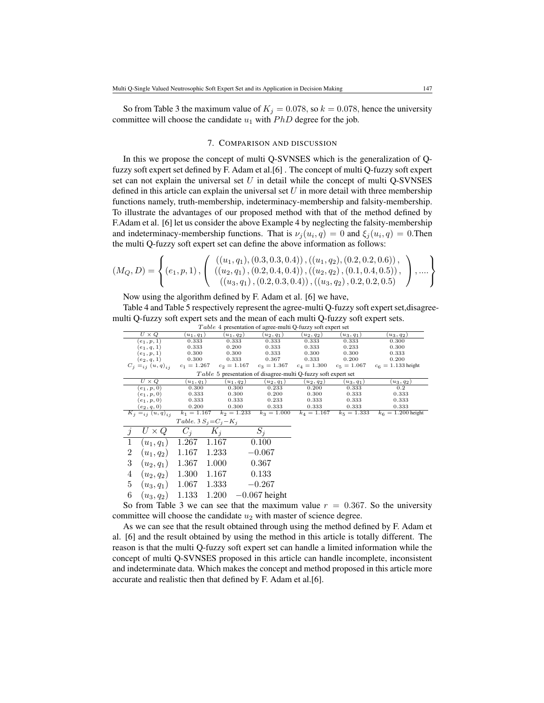So from Table 3 the maximum value of  $K_i = 0.078$ , so  $k = 0.078$ , hence the university committee will choose the candidate  $u_1$  with  $PhD$  degree for the job.

### 7. COMPARISON AND DISCUSSION

In this we propose the concept of multi Q-SVNSES which is the generalization of Qfuzzy soft expert set defined by F. Adam et al.[6] . The concept of multi Q-fuzzy soft expert set can not explain the universal set  $U$  in detail while the concept of multi Q-SVNSES defined in this article can explain the universal set  $U$  in more detail with three membership functions namely, truth-membership, indeterminacy-membership and falsity-membership. To illustrate the advantages of our proposed method with that of the method defined by F.Adam et al. [6] let us consider the above Example 4 by neglecting the falsity-membership and indeterminacy-membership functions. That is  $\nu_j(u_i, q) = 0$  and  $\xi_j(u_i, q) = 0$ . Then the multi Q-fuzzy soft expert set can define the above information as follows:

$$
(M_Q, D) = \left\{ (e_1, p, 1), \left( \begin{array}{c} ((u_1, q_1), (0.3, 0.3, 0.4)), ((u_1, q_2), (0.2, 0.2, 0.6)), \\ ((u_2, q_1), (0.2, 0.4, 0.4)), ((u_2, q_2), (0.1, 0.4, 0.5)), \\ ((u_3, q_1), (0.2, 0.3, 0.4)), ((u_3, q_2), 0.2, 0.2, 0.5) \end{array} \right), \dots \right\}
$$

Now using the algorithm defined by F. Adam et al. [6] we have,

Table 4 and Table 5 respectively represent the agree-multi Q-fuzzy soft expert set,disagreemulti Q-fuzzy soft expert sets and the mean of each multi Q-fuzzy soft expert sets.

| <i>T</i> able 4 presentation of agree-multi Q-fuzzy soft expert set |                                            |               |                |               |                 |               |               |                      |
|---------------------------------------------------------------------|--------------------------------------------|---------------|----------------|---------------|-----------------|---------------|---------------|----------------------|
| $U \times Q$                                                        |                                            | $(u_1, q_1)$  |                | $(u_1, q_2)$  | $(u_2, q_1)$    | $(u_2, q_2)$  | $(u_3, q_1)$  | $(u_3, q_2)$         |
| 0.333<br>$(e_1, p, 1)$                                              |                                            |               | 0.333          | 0.333         | 0.333           | 0.333         | 0.300         |                      |
| $(e_1, q, 1)$                                                       |                                            | 0.333         |                | 0.200         | 0.333           | 0.333         | 0.233         | 0.300                |
|                                                                     | 0.300<br>$(e_1, p, 1)$                     |               |                | 0.300         | 0.333           | 0.300         | 0.300         | 0.333                |
|                                                                     | 0.300<br>$(e_2, q, 1)$                     |               |                | 0.333         | 0.367           | 0.333         | 0.200         | 0.200                |
|                                                                     | $c_1 = 1.267$<br>$C_j =_{ij} (u, q)_{ij}$  |               |                | $c_2 = 1.167$ | $c_3 = 1.367$   | $c_4 = 1.300$ | $c_5 = 1.067$ | $c_6 = 1.133$ height |
| Table 5 presentation of disagree-multi Q-fuzzy soft expert set      |                                            |               |                |               |                 |               |               |                      |
| $U \times Q$                                                        |                                            | $(u_1, q_1)$  |                | $(u_1,q_2)$   | $(u_2, q_1)$    | $(u_2, q_2)$  | $(u_3, q_1)$  | $(u_3, q_2)$         |
| $(e_1, p, 0)$                                                       |                                            | 0.300         |                | 0.300         | 0.233           | 0.200         | 0.333         | 0.2                  |
| $(e_1,p,0)$                                                         |                                            |               | 0.333<br>0.300 |               | 0.200           | 0.300         | 0.333         | 0.333                |
| $(e_1,p,0)$                                                         |                                            | 0.333         | 0.333          |               | 0.233           | 0.333         | 0.333         | 0.333                |
|                                                                     | 0.200<br>$(e_2,q,0)$                       |               |                | 0.300         | 0.333           | 0.333         | 0.333         | 0.333                |
| $K_j =_{ij} (u, q)_{ij}$                                            |                                            | $k_1 = 1.167$ |                | $k_2 = 1.233$ | $k_3 = 1.000$   | $k_4 = 1.167$ | $k_5 = 1.333$ | $k_6 = 1.200$ height |
| Table. 3 $S_i = C_i - K_i$                                          |                                            |               |                |               |                 |               |               |                      |
| J                                                                   | $U \times Q$                               | $C_i$         | $K_i$          |               | $S_i$           |               |               |                      |
| 1                                                                   | $(u_1, q_1)$                               | 1.267         | 1.167          | 0.100         |                 |               |               |                      |
| 2                                                                   | $(u_1, q_2)$                               | 1.167         | 1.233          | $-0.067$      |                 |               |               |                      |
| 3                                                                   | $(u_2,q_1)$                                | 1.367         | 1.000          | 0.367         |                 |               |               |                      |
| 4                                                                   | $(u_2,q_2)$                                | 1.300         | 1.167          |               | 0.133           |               |               |                      |
| 5                                                                   | $(u_3, q_1)$                               | 1.067         | 1.333          |               | $-0.267$        |               |               |                      |
| 6                                                                   | $(u_3, q_2)$                               | 1.133         | 1.200          |               | $-0.067$ height |               |               |                      |
|                                                                     | Os fazar Talle O con con con that the most |               |                |               |                 | 1             | 0.967         | $C = 41$             |

 $Table 4$  presentation of agree-multi Q-fuzzy soft expert set

So from Table 3 we can see that the maximum value  $r = 0.367$ . So the university committee will choose the candidate  $u_2$  with master of science degree.

As we can see that the result obtained through using the method defined by F. Adam et al. [6] and the result obtained by using the method in this article is totally different. The reason is that the multi Q-fuzzy soft expert set can handle a limited information while the concept of multi Q-SVNSES proposed in this article can handle incomplete, inconsistent and indeterminate data. Which makes the concept and method proposed in this article more accurate and realistic then that defined by F. Adam et al.[6].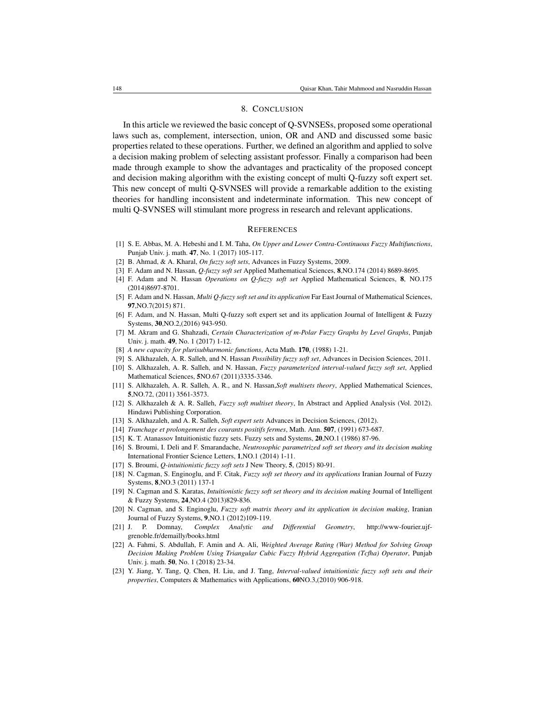#### 8. CONCLUSION

In this article we reviewed the basic concept of Q-SVNSESs, proposed some operational laws such as, complement, intersection, union, OR and AND and discussed some basic properties related to these operations. Further, we defined an algorithm and applied to solve a decision making problem of selecting assistant professor. Finally a comparison had been made through example to show the advantages and practicality of the proposed concept and decision making algorithm with the existing concept of multi Q-fuzzy soft expert set. This new concept of multi Q-SVNSES will provide a remarkable addition to the existing theories for handling inconsistent and indeterminate information. This new concept of multi Q-SVNSES will stimulant more progress in research and relevant applications.

#### **REFERENCES**

- [1] S. E. Abbas, M. A. Hebeshi and I. M. Taha, *On Upper and Lower Contra-Continuous Fuzzy Multifunctions*, Punjab Univ. j. math. 47, No. 1 (2017) 105-117.
- [2] B. Ahmad, & A. Kharal, *On fuzzy soft sets*, Advances in Fuzzy Systems, 2009.
- [3] F. Adam and N. Hassan, *Q-fuzzy soft set* Applied Mathematical Sciences, 8,NO.174 (2014) 8689-8695.
- [4] F. Adam and N. Hassan *Operations on Q-fuzzy soft set* Applied Mathematical Sciences, 8, NO.175 (2014)8697-8701.
- [5] F. Adam and N. Hassan, *Multi Q-fuzzy soft set and its application* Far East Journal of Mathematical Sciences, 97,NO.7(2015) 871.
- [6] F. Adam, and N. Hassan, Multi Q-fuzzy soft expert set and its application Journal of Intelligent & Fuzzy Systems, 30,NO.2,(2016) 943-950.
- [7] M. Akram and G. Shahzadi, *Certain Characterization of m-Polar Fuzzy Graphs by Level Graphs*, Punjab Univ. j. math. 49, No. 1 (2017) 1-12.
- [8] *A new capacity for plurisubharmonic functions*, Acta Math. 170, (1988) 1-21.
- [9] S. Alkhazaleh, A. R. Salleh, and N. Hassan *Possibility fuzzy soft set*, Advances in Decision Sciences, 2011.
- [10] S. Alkhazaleh, A. R. Salleh, and N. Hassan, *Fuzzy parameterized interval-valued fuzzy soft set*, Applied Mathematical Sciences, 5NO.67 (2011)3335-3346.
- [11] S. Alkhazaleh, A. R. Salleh, A. R., and N. Hassan,*Soft multisets theory*, Applied Mathematical Sciences, 5,NO.72, (2011) 3561-3573.
- [12] S. Alkhazaleh & A. R. Salleh, *Fuzzy soft multiset theory*, In Abstract and Applied Analysis (Vol. 2012). Hindawi Publishing Corporation.
- [13] S. Alkhazaleh, and A. R. Salleh, *Soft expert sets* Advances in Decision Sciences, (2012).
- [14] *Tranchage et prolongement des courants positifs fermes*, Math. Ann. 507, (1991) 673-687.
- [15] K. T. Atanassov Intuitionistic fuzzy sets. Fuzzy sets and Systems, 20,NO.1 (1986) 87-96.
- [16] S. Broumi, I. Deli and F. Smarandache, *Neutrosophic parametrized soft set theory and its decision making* International Frontier Science Letters, 1,NO.1 (2014) 1-11.
- [17] S. Broumi, *Q-intuitionistic fuzzy soft sets* J New Theory, 5, (2015) 80-91.
- [18] N. Cagman, S. Enginoglu, and F. Citak, *Fuzzy soft set theory and its applications* Iranian Journal of Fuzzy Systems, 8,NO.3 (2011) 137-1
- [19] N. Cagman and S. Karatas, *Intuitionistic fuzzy soft set theory and its decision making* Journal of Intelligent & Fuzzy Systems, 24,NO.4 (2013)829-836.
- [20] N. Cagman, and S. Enginoglu, *Fuzzy soft matrix theory and its application in decision making*, Iranian Journal of Fuzzy Systems, 9,NO.1 (2012)109-119.
- [21] J. P. Domnay, *Complex Analytic and Differential Geometry*, http://www-fourier.ujfgrenoble.fr/demailly/books.html
- [22] A. Fahmi, S. Abdullah, F. Amin and A. Ali, *Weighted Average Rating (War) Method for Solving Group Decision Making Problem Using Triangular Cubic Fuzzy Hybrid Aggregation (Tcfha) Operator*, Punjab Univ. j. math. 50, No. 1 (2018) 23-34.
- [23] Y. Jiang, Y. Tang, Q. Chen, H. Liu, and J. Tang, *Interval-valued intuitionistic fuzzy soft sets and their properties*, Computers & Mathematics with Applications, 60NO.3,(2010) 906-918.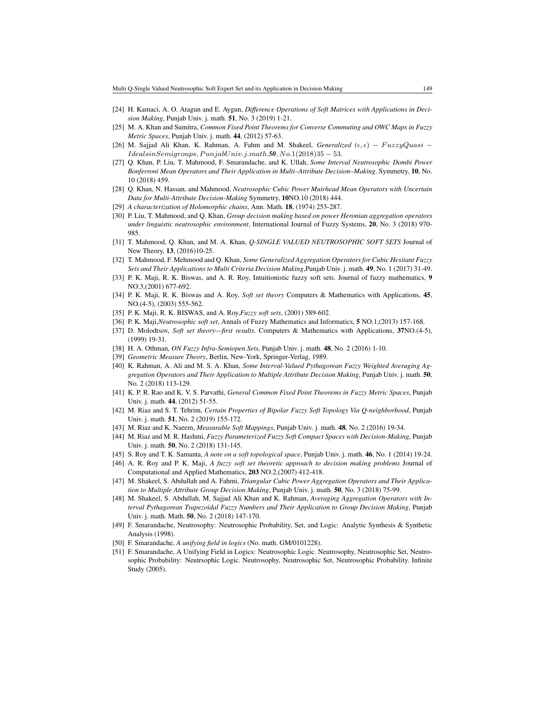- [24] H. Kamaci, A. O. Atagun and E. Aygun, *Difference Operations of Soft Matrices with Applications in Decision Making*, Punjab Univ. j. math. 51, No. 3 (2019) 1-21.
- [25] M. A. Khan and Sumitra, *Common Fixed Point Theorems for Converse Commuting and OWC Maps in Fuzzy Metric Spaces*, Punjab Univ. j. math. 44, (2012) 57-63.
- [26] M. Sajjad Ali Khan, K. Rahman, A. Fahm and M. Shakeel, *Generalized*  $(\epsilon, \epsilon)$   $FuzzyQuasi$   $Ideals in Semigroups, Punjab Univ.j.math.50, No.1(2018)35 - 53.$
- [27] Q. Khan, P. Liu, T. Mahmood, F. Smarandache, and K. Ullah, *Some Interval Neutrosophic Dombi Power Bonferroni Mean Operators and Their Application in Multi–Attribute Decision–Making*. Symmetry, 10, No. 10 (2018) 459.
- [28] Q. Khan, N. Hassan, and Mahmood, *Neutrosophic Cubic Power Muirhead Mean Operators with Uncertain Data for Multi-Attribute Decision-Making* Symmetry, 10NO.10 (2018) 444.
- [29] *A characterization of Holomorphic chains*, Ann. Math. 18, (1974) 253-287.
- [30] P. Liu, T. Mahmood, and Q. Khan, *Group decision making based on power Heronian aggregation operators under linguistic neutrosophic environment*, International Journal of Fuzzy Systems, 20, No. 3 (2018) 970- 985.
- [31] T. Mahmood, Q. Khan, and M. A. Khan, *Q-SINGLE VALUED NEUTROSOPHIC SOFT SETS* Journal of New Theory, 13, (2016)10-25.
- [32] T. Mahmood, F. Mehmood and Q. Khan, *Some Generalized Aggregation Operators for Cubic Hesitant Fuzzy Sets and Their Applications to Multi Criteria Decision Making*,Punjab Univ. j. math. 49, No. 1 (2017) 31-49.
- [33] P. K. Maji, R. K. Biswas, and A. R. Roy, Intuitionistic fuzzy soft sets. Journal of fuzzy mathematics, 9 NO.3,(2001) 677-692.
- [34] P. K. Maji, R. K. Biswas and A. Roy, *Soft set theory* Computers & Mathematics with Applications, 45, NO.(4-5), (2003) 555-562.
- [35] P. K. Maji, R. K. BISWAS, and A. Roy,*Fuzzy soft sets*, (2001) 589-602.
- [36] P. K. Maji,*Neutrosophic soft set*, Annals of Fuzzy Mathematics and Informatics, 5 NO.1,(2013) 157-168.
- [37] D. Molodtsov, *Soft set theory—first results*. Computers & Mathematics with Applications, 37NO.(4-5), (1999) 19-31.
- [38] H. A. Othman, *ON Fuzzy Infra-Semiopen Sets*, Punjab Univ. j. math. 48, No. 2 (2016) 1-10.
- [39] *Geometric Measure Theory*, Berlin, New-York, Springer-Verlag, 1989.
- [40] K. Rahman, A. Ali and M. S. A. Khan, *Some Interval-Valued Pythagorean Fuzzy Weighted Averaging Aggregation Operators and Their Application to Multiple Attribute Decision Making*, Punjab Univ. j. math. 50, No. 2 (2018) 113-129.
- [41] K. P. R. Rao and K. V. S. Parvathi, *General Common Fixed Point Theorems in Fuzzy Metric Spaces*, Punjab Univ. j. math. 44, (2012) 51-55.
- [42] M. Riaz and S. T. Tehrim, *Certain Properties of Bipolar Fuzzy Soft Topology Via Q-neighborhood*, Punjab Univ. j. math. 51, No. 2 (2019) 155-172.
- [43] M. Riaz and K. Naeem, *Measurable Soft Mappings*, Punjab Univ. j. math. 48, No. 2 (2016) 19-34.
- [44] M. Riaz and M. R. Hashmi, *Fuzzy Parameterized Fuzzy Soft Compact Spaces with Decision-Making*, Punjab Univ. j. math. 50, No. 2 (2018) 131-145.
- [45] S. Roy and T. K. Samanta, *A note on a soft topological space*, Punjab Univ. j. math. 46, No. 1 (2014) 19-24.
- [46] A. R. Roy and P. K. Maji, *A fuzzy soft set theoretic approach to decision making problems* Journal of Computational and Applied Mathematics, 203 NO.2,(2007) 412-418.
- [47] M. Shakeel, S. Abdullah and A. Fahmi, *Triangular Cubic Power Aggregation Operators and Their Application to Multiple Attribute Group Decision Making*, Punjab Univ. j. math. 50, No. 3 (2018) 75-99.
- [48] M. Shakeel, S. Abdullah, M. Sajjad Ali Khan and K. Rahman, *Averaging Aggregation Operators with Interval Pythagorean Trapezoidal Fuzzy Numbers and Their Application to Group Decision Making*, Punjab Univ. j. math. Math. 50, No. 2 (2018) 147-170.
- [49] F. Smarandache, Neutrosophy: Neutrosophic Probability, Set, and Logic: Analytic Synthesis & Synthetic Analysis (1998).
- [50] F. Smarandache, *A unifying field in logics* (No. math. GM/0101228).
- [51] F. Smarandache, A Unifying Field in Logics: Neutrosophic Logic. Neutrosophy, Neutrosophic Set, Neutrosophic Probability: Neutrsophic Logic. Neutrosophy, Neutrosophic Set, Neutrosophic Probability. Infinite Study (2005).